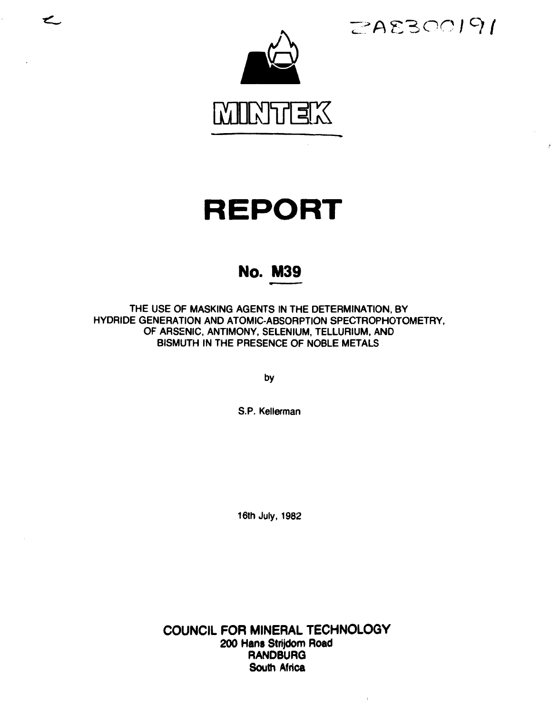**< - , '->** AEBOO/9/

Ŷ.



# REPORT

# No. M39

**THE USE OF MASKING AGENTS IN THE DETERMINATION, BY HYDRIDE GENERATION AND ATOMIC-ABSORPTION SPECTROPHOTOMETRY, OF ARSENIC, ANTIMONY, SELENIUM, TELLURIUM, AND BISMUTH IN THE PRESENCE OF NOBLE METALS** 

**by** 

**S.P. Kellerman** 

**16th July, 1982** 

**COUNCIL FOR MINERAL TECHNOLOGY 200 Hans Strijdom Road RANDBURG South Africa** 

 $\mathbb{L}$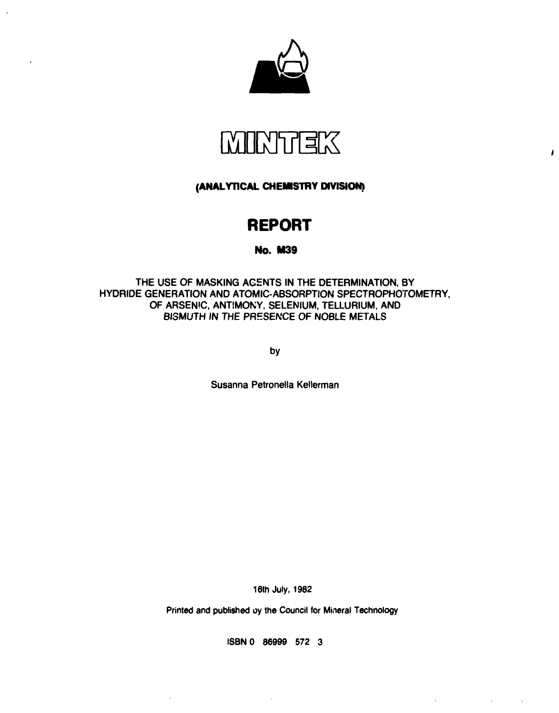



Ï

 $\label{eq:1.1} \frac{1}{2} \sum_{i=1}^n \frac{1}{2} \sum_{j=1}^n \frac{1}{2} \sum_{j=1}^n \frac{1}{2} \sum_{j=1}^n \frac{1}{2} \sum_{j=1}^n \frac{1}{2} \sum_{j=1}^n \frac{1}{2} \sum_{j=1}^n \frac{1}{2} \sum_{j=1}^n \frac{1}{2} \sum_{j=1}^n \frac{1}{2} \sum_{j=1}^n \frac{1}{2} \sum_{j=1}^n \frac{1}{2} \sum_{j=1}^n \frac{1}{2} \sum_{j=1}^n \frac{$ 

 $\sim$  1.

 $\mathbf{r}$ 

**(ANALYTICAL CHEMISTRY DIVISION)** 

# **REPORT**

# No. **M39**

THE USE OF MASKING AGENTS IN THE DETERMINATION, BY HYDRIDE GENERATION AND ATOMIC-ABSORPTION SPECTROPHOTOMETRY, OF ARSENIC, ANTIMONY, SELENIUM, TELLURIUM, AND BISMUTH IN THE PRESENCE OF NOBLE METALS

by

Susanna Petronella Kellerman

16th July, 1982

Printed and published oy the Council for Mineral Technology

ISBNO 86999 572 3

 $\sim 1$ 

 $\bar{1}$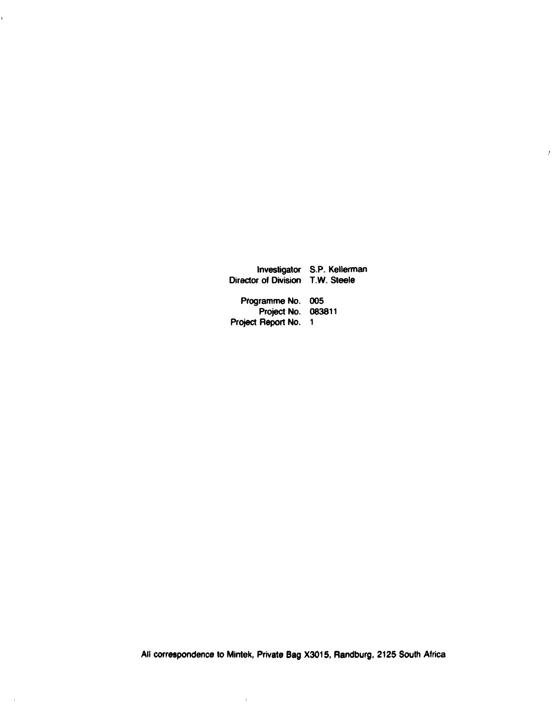**Investigator S.P. Kellerman Director of Division T.W. Steele Programme No. 005 Project No. 083811 Project Report No. 1** 

 $\bar{t}$ 

 $\hat{\mathbf{r}}$ 

 $\mathbf{I}$ 

 $\bar{\rm r}$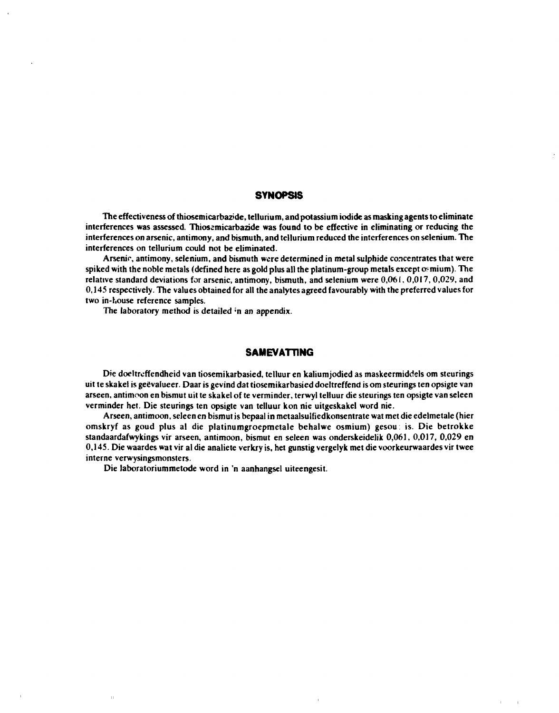# **SYNOPSIS**

**The effectiveness of thiosemicarbazide, tellurium, and potassium iodide as masking agents to eliminate interferences was assessed. Thiossmicarbazide was found to be effective in eliminating or reducing the interferences on arsenic, antimony, and bismuth, and tellurium reduced the interferences on selenium. The interferences on tellurium could not be eliminated.** 

**Arsenic, antimony, selenium, and bismuth were determined in metal sulphide concentrates that were**  spiked with the noble metals (defined here as gold plus all the platinum-group metals except osmium). The **relative standard deviations for arsenic, antimony, bismuth, and selenium were 0,061,0,017,0,029, and 0,145 respectively. The values obtained for all the analytes agreed favourably with the preferred values for two in-l.ouse reference samples.** 

**The laboratory method is detailed ;n an appendix.** 

# **SAMEVATTING**

**Die doeltrcffendheid van tiosemikarbasied, telluur en kaliumjodied as maskeermiddels om steurings uit te skakel is geëvalueer. Daar is gevind dat tiosemikarbasied doeltreffend is om steurings ten opsigte van arseen, antimoon en bismut uit te skakel of te verminder, terwyl telluur die steurings ten opsigte van seleen verminder het. Die steurings ten opsigte van telluur kon nie uitgeskakel word nie.** 

**Arseen, antimoon, seleen en bismut is bepaal in metaalsuifiedkonsentrate wat met die edelmetale (hier omskryf as goud plus al die platinumgroepmetale behalwe osmium) gesou. is. Die betrokke standaardafwykings vir arseen, antimoon, bismut en seleen was onderskeidelik 0,061, 0,017, 0,029 en 0,145. Die waardes wat vir al die analiete verkry is, het gunstig vergelyk met die voorkeurwaardes vir twee interne verwysingsmonsters.** 

**Die iaboratoriummetode word in 'n aanhangsel uiteengesit.** 

 $\pm 1$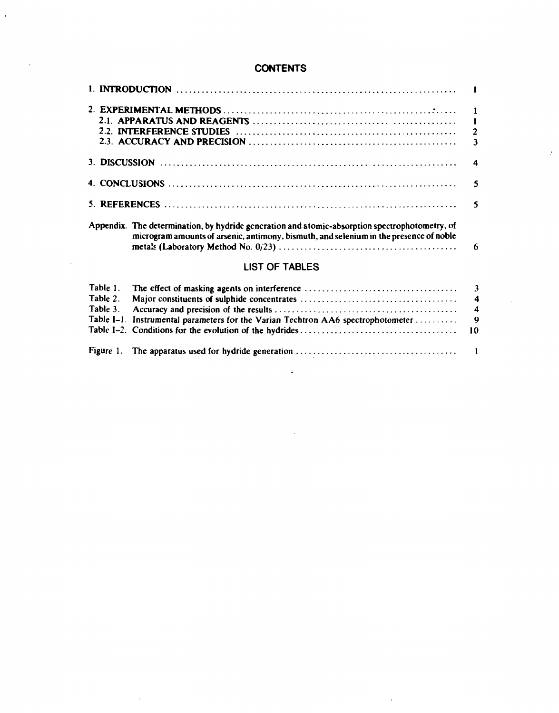# **CONTENTS**

 $\hat{\mathcal{A}}$ 

 $\sim$ 

|         | Appendix. The determination, by hydride generation and atomic-absorption spectrophotometry, of<br>microgram amounts of arsenic, antimony, bismuth, and selenium in the presence of noble |
|---------|------------------------------------------------------------------------------------------------------------------------------------------------------------------------------------------|
|         | <b>LIST OF TABLES</b>                                                                                                                                                                    |
| Table 1 | The effect of masking agents on interference                                                                                                                                             |

 $\mathcal{L}$ 

 $\sim 10^{-1}$ 

 $\mathcal{L}_{\mathbf{r}}$ 

 $\mathcal{L}(\mathcal{L}(\mathcal{L}(\mathcal{L}(\mathcal{L}(\mathcal{L}(\mathcal{L}(\mathcal{L}(\mathcal{L}(\mathcal{L}(\mathcal{L}(\mathcal{L}(\mathcal{L}(\mathcal{L}(\mathcal{L}(\mathcal{L}(\mathcal{L}(\mathcal{L}(\mathcal{L}(\mathcal{L}(\mathcal{L}(\mathcal{L}(\mathcal{L}(\mathcal{L}(\mathcal{L}(\mathcal{L}(\mathcal{L}(\mathcal{L}(\mathcal{L}(\mathcal{L}(\mathcal{L}(\mathcal{L}(\mathcal{L}(\mathcal{L}(\mathcal{L}(\mathcal{L}(\mathcal{$ 

 $\sim 10^{-10}$ 

 $\sim 10^{-10}$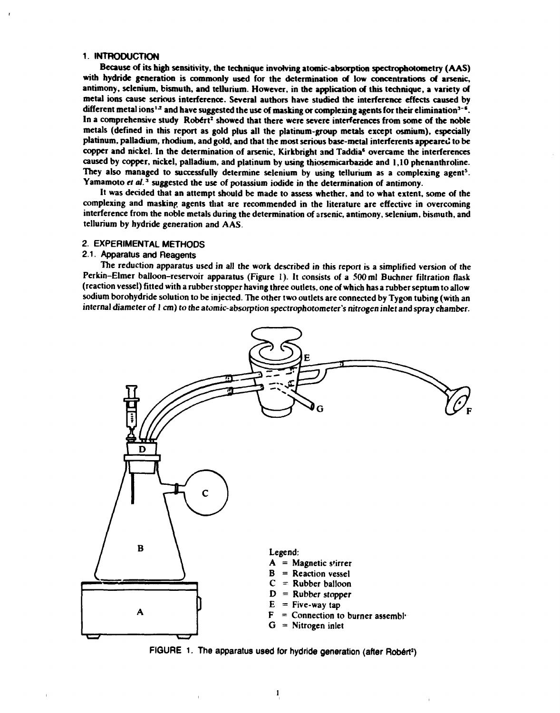#### **1. INTRODUCTION**

**Because of its high sensitivity, the technique involving atomic-absorption spectrophotometry (AAS) with hydride generation is commonly used for the determination of low concentrations of arsenic, antimony, selenium, bismuth, and tellurium. However, in the application of this technique, a variety of metal ions cause serious interference. Several authors have studied the interference effects caused by**  different metal ions<sup>1.2</sup> and have suggested the use of masking or complexing agents for their elimination<sup>3-6</sup>. In a comprehensive study Robert<sup>2</sup> showed that there were severe interferences from some of the noble **metals (defined in this report as gold plus all the platinum-group metals except osmium), especially platinum, palladium, rhodium, and gold, and that the most serious base-metal interferents appeared to be copper and nickel. In the determination of arsenic, Kirkbright and Taddia\* overcame the interferences caused by copper, nickel, palladium, and platinum by using thiosemicarbazide and 1,10 phenanthroline. They also managed to successfully determine selenium by using tellurium as a complexing agent<sup>5</sup> .**  Yamamoto *et al.*<sup>3</sup> suggested the use of potassium iodide in the determination of antimony.

**It was decided that an attempt should be made to assess whether, and to what extent, some of the complexing and masking agents that are recommended in the literature are effective in overcoming interference from the noble metals during the determination of arsenic, antimony, selenium, bismuth, and tellurium by hydride generation and AAS.** 

# **2. EXPERIMENTAL METHODS**

# **2.1. Apparatus and Reagents**

**The reduction apparatus used in all the work described in this report is a simplified version of the Perkin-Elmer balloon-reservoir apparatus (Figure 1). It consists of a 500 ml Buchner filtration flask (reaction vessel) fitted with a rubber stopper having three outlets, one of which has a rubber septum to allow sodium borohydride solution to be injected. The other two outlets are connected by Tygon tubing (with an internal diameter of 1 cm) to the atomic-absorption spectrophotometer's nitrogen inlet and spray chamber.** 



**FIGURE 1. The apparatus used for hydride generation (after Robert<sup>2</sup> )**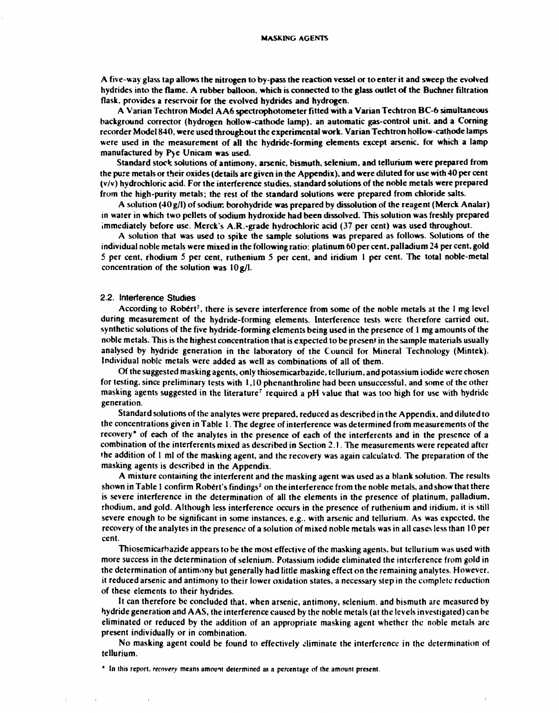**A five-way glass tap allows the nitrogen to by-pass the reaction vessel or to enter it and sweep the evolved hydrides into the flame. A rubber balloon, which is connected to the glass outlet of the Buchner filtration flask, provides a reservoir for the evolved hydrides and hydrogen.** 

**A Varian Techtron Model AA6 spectrophotometer fitted with a Varian Techtron BC-6 simultaneous background corrector (hydrogen hollow-cathode lamp), an automatic gas-control unit, and a Corning recorder Model 840, were used throughout the experimental work. Varian Techtron hollow-cathode lamps were used in the measurement of all the hydride-forming elements except arsenic, for which a lamp manufactured by Pye Unicam was used.** 

**Standard stock solutions of antimony, arsenic, bismuth, selenium, and tellurium were prepared from the pure metals or their oxides (details are given in the Appendix), and were diluted for use with 40 per cent (v/v) hydrochloric acid. For the interference studies, standard solutions of the noble metals were prepared from the high-purity metals; the rest of the standard solutions were prepared from chloride salts.** 

**A solution (40 g/l) of sodiunr. borohydride was prepared by dissolution of the reagent (Merck Analar) in water in which two pellets of sodium hydroxide had been dissolved. This solution was freshly prepared immediately before use. Merck's A.R.-grade hydrochloric acid (37 per cent) was used throughout.** 

**A solution that was used to spike the sample solutions was prepared as follows. Solutions of the individual noble metals were mixed in the following ratio: platinum 60 per cent, palladium 24 per cent, gold 5 per cent, rhodium 5 per cent, ruthenium 5 per cent, and iridium 1 per cent. The total noble-metal concentration of the solution was 10 g/l.** 

# **2.2. Interference Studies**

**According to Robert<sup>2</sup> , there is severe interference from some of the noble metals at the 1 mg level**  during measurement of the hydride-forming elements. Interference tests were therefore carried out, **synthetic solutions of the five hydride-forming elements being used in the presence of 1 mg amounts of the noble metals. This is the highest concentration that is expected to be present in the sample materials usually analysed by hydride generation in the laboratory of the Council for Mineral Technology (Mintek). Individual noble metals were added as well as combinations of all of them.** 

**Of the suggested masking agents, only thiosemicarbazide, tellurium, and potassium iodide were chosen for testing, since preliminary tests with 1,10 phenanthroline had been unsuccessful, and some of the other masking agents suggested in the literature<sup>7</sup> required a pH value that was too high for use with hydride generation.** 

**Standard solutions of the analytes were prepared, reduced as described in the Appendix, and diluted to the concentrations given in Table 1. The degree of interference was determined from measurements of the recovery\* of each of the analytes in the presence of each of the interferents and in the presence of a combination of the interferents mixed as described in Section 2.1. The measurements were repeated after the addition of 1 ml of the masking agent, and the recovery was again calculated. The preparation of the masking agents is described in the Appendix.** 

**A mixture containing the interferent and the masking agent was used as a blank solution. The results shown in Table 1 confirm Robert's findings<sup>2</sup> on the interference from the noble metals, and show that there is severe interference in the determination of all the elements in the presence of platinum, palladium, rhodium, and gold. Although less interference occurs in the presence of ruthenium and iridium, it is still severe enough to be significant in some instances, e.g., with arsenic and tellurium. As was expected, the recovery of the analytes in the presence of a solution of mixed noble metals was in all cases less than 10 per cent.** 

**Thiosemicarbazide appears to be the most effective of the masking agents, but tellurium was used with more success in the determination of selenium. Potassium iodide eliminated the interference from gold in the determination of antimony but generally had little masking effect on the remaining analytes. However, it reduced arsenic and antimony to their lower oxidation states, a necessary step in the complete reduction of these elements to their hydrides.** 

**It can therefore be concluded that, when arsenic, antimony, selenium, and bismuth are measured by hydride generation and A AS, the interference caused by the noble metals (at the levels investigated) can be eliminated or reduced by the addition of an appropriate masking agent whether the noble metals are present individually or in combination.** 

**No masking agent could be found to effectively eliminate the interference in the determination of tellurium.** 

**<sup>\*</sup> In this report,** *recovery* **means amount determined as a percentage of the amount present.**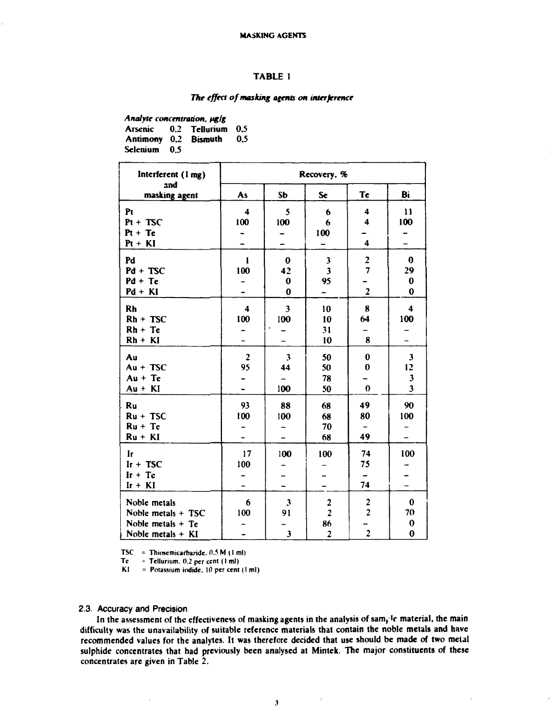# **TABLE 1**

# *The effect of masking agents on interference*

**Analyte concentration,**  $\mu$ **g/g Arsenic 0.2 Tellurium 0.5**  Antimony 0,2 **Bismuth Selenium 0,5** 

| Interferent (1 mg)   | Recovery, %             |                         |                         |                         |                         |  |
|----------------------|-------------------------|-------------------------|-------------------------|-------------------------|-------------------------|--|
| and<br>masking agent | As                      | S <sub>b</sub>          | <b>Se</b>               | <b>Te</b>               | Bi                      |  |
| Pt                   | $\overline{\mathbf{4}}$ | 5                       | $\boldsymbol{6}$        | $\overline{\mathbf{4}}$ | $\mathbf{11}$           |  |
| $Pt + TSC$           | 100                     | 100                     | 6                       | 4                       | 100                     |  |
| $Pt + Te$            |                         |                         | 100                     |                         |                         |  |
| $Pt + KI$            |                         |                         |                         | $\overline{\mathbf{4}}$ |                         |  |
| Pd                   | 1                       | $\bf{0}$                | $\mathbf{3}$            | $\overline{\mathbf{c}}$ | $\bf{0}$                |  |
| $Pd + TSC$           | 100                     | 42                      | $\overline{\mathbf{3}}$ | $\overline{7}$          | 29                      |  |
| $Pd + Te$            |                         | $\bf{0}$                | 95                      |                         | $\bf{0}$                |  |
| $Pd + KI$            |                         | $\bf{0}$                | -                       | $\overline{\mathbf{2}}$ | $\bf{0}$                |  |
| <b>Rh</b>            | $\overline{\mathbf{4}}$ | $\overline{\mathbf{3}}$ | 10                      | 8                       | $\overline{\mathbf{4}}$ |  |
| $Rh + TSC$           | 100                     | 100                     | 10                      | 64                      | 100                     |  |
| $Rh + Te$            |                         |                         | 31                      |                         |                         |  |
| $Rh + KI$            |                         |                         | 10                      | 8                       |                         |  |
| Au                   | $\overline{\mathbf{2}}$ | 3                       | 50                      | $\bf{0}$                | $\mathbf{3}$            |  |
| $Au + TSC$           | 95                      | 44                      | 50                      | $\bf{0}$                | 12                      |  |
| $Au + Te$            |                         |                         | 78                      |                         | 3                       |  |
| $Au + KI$            |                         | 100                     | 50                      | $\boldsymbol{0}$        | $\overline{\mathbf{3}}$ |  |
| Ru                   | 93                      | 88                      | 68                      | 49                      | 90                      |  |
| $Ru + TSC$           | 100                     | 100                     | 68                      | 80                      | 100                     |  |
| $Ru + Te$            |                         |                         | 70                      | -                       |                         |  |
| $Ru + KI$            |                         |                         | 68                      | 49                      |                         |  |
| Ir                   | 17                      | 100                     | 100                     | 74                      | 100                     |  |
| $Ir + TSC$           | 100                     |                         |                         | 75                      |                         |  |
| $Ir + Te$            |                         |                         |                         | -                       |                         |  |
| $Ir + KI$            |                         |                         |                         | 74                      |                         |  |
| Noble metals         | $\boldsymbol{6}$        | 3                       |                         |                         | $\bf{0}$                |  |
| Noble metals + TSC   | 100                     | 91                      | $\frac{2}{2}$           | $\frac{2}{2}$           | 70                      |  |
| Noble metals $+$ Te  |                         |                         | 86                      |                         | $\boldsymbol{0}$        |  |
| Noble metals $+$ KI  |                         | $\overline{\mathbf{3}}$ | $\overline{\mathbf{c}}$ | -<br>2                  | $\bf{0}$                |  |

**TSC** = Thiosemicarbazide.  $0.5 M (1 ml)$ <br>Te = Tellurium.  $0.2$  per cent  $(1 ml)$ 

 $\equiv$  **Tellurium.** 0,2 per cent (1 ml)

**KI = Potassium iodide, 10 per cent (1 ml)** 

#### **2.3. Accuracy and Precision**

 $\bar{1}$ 

In the assessment of the effectiveness of masking agents in the analysis of sam<sub>k</sub>le material, the main **difficulty was the unavailability of suitable reference materials that contain the noble metals and have recommended values for the analytes. It was therefore decided that use should be made of two metal sulphide concentrates that had previously been analysed at Mintek. The major constituents of these concentrates are given in Table** *2.* 

 $\bar{1}$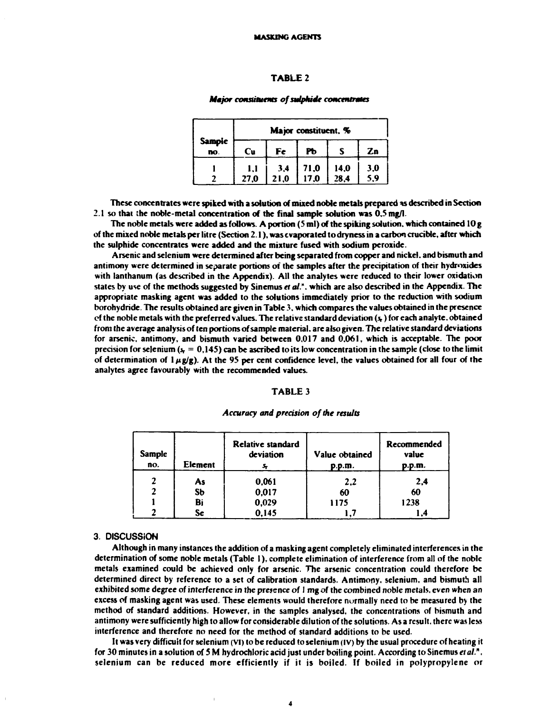#### **TABLE 2**

#### **Major constituents of sulphide concentrates**

|                                 |      |      | Major constituent, % |      |                |
|---------------------------------|------|------|----------------------|------|----------------|
| <b>Sampie</b><br>$\overline{p}$ | Cu   | Fe   | Рь                   |      | Zn             |
|                                 | 1,1  | 3,4  | 71,0                 | 14,0 |                |
|                                 | 27,0 | 21,0 | 17.0                 | 28,4 | $3,0$<br>$5,9$ |

**These concentrates were spiked with a solution of mixed noble metals prepared \*s described in Section 2.1 so that the noble-metal concentration of the final sample solution was 0.5 mg/1.** 

**The noble metals were added as follows. A portion (5 ml) of the spiking solution, which contained 10 g of the mixed noble metals per litre (Section 2.1), was evaporated to dryness in a carbon crucible, after which the sulphide concentrates were added and the mixture fused with sodium peroxide.** 

**Arsenic and selenium were determined after being separated from copper and nickel, and bismuth and antimony were determined in separate portions of the samples after the precipitation of their hydroxides with lanthanum (as described in the Appendix). All the analytes were reduced to their lower oxidation states by use of the methods suggested by Sinemus** *et* **a/.", which are also described in the Appendix. The appropriate masking agent was added to the solutions immediately prior to the reduction with sodium borohydride. The results obtained are given in Table 3. which compares the values obtained in the presence ef the noble metals with the preferred values. The relative standard deviation** *(\***) for each analyte. obtained from the average analysis of ten portions of sample material, are also given. The relative standard deviations for arsenic, antimony, and bismuth varied between 0,017 and 0.061, which is acceptable. The poor**  precision for selenium  $(s<sub>r</sub> = 0.145)$  can be ascribed to its low concentration in the sample (close to the limit of determination of  $1 \mu g/g$ ). At the 95 per cent confidence level, the values obtained for all four of the **analytes agree favourably with the recommended values.** 

#### **TABLE 3**

#### *Accuracy and precision of the results*

| Sample<br>no. | Element   | Relative standard<br>deviation | Value obtained<br>p.p.m. | Recommended<br>value<br>p.p.m. |
|---------------|-----------|--------------------------------|--------------------------|--------------------------------|
| $\mathbf{r}$  | As        | 0,061                          | 2,2                      | 2,4                            |
| $\mathbf 2$   | <b>Sb</b> | 0,017                          | 60                       | 60                             |
|               | Bi        | 0,029                          | 1175                     | 1238                           |
|               | Se        | 0,145                          |                          | I .4                           |

#### **3. DISCUSSION**

**Although in many instances the addition of a masking agent completely eliminated interferences in the determination of some noble metals (Table 1), complete elimination of interference from all of the noble metals examined could be achieved only for arsenic. The arsenic concentration could therefore be determined direct by reference to a set of calibration standards. Antimony, selenium, and bismuth all exhibited some degree of interference in the presence of I mg of the combined noble metals, even when an excess of masking agent was used. These elements would therefore normally need to be measured by the method of standard additions. However, in the samples analysed, the concentrations of bismuth and antimony were sufficiently high to allow for considerable dilution of the solutions. As a result, there was less interference and therefore no need for the method of standard additions to be used.** 

**It was very difficult for selenium (vi) to be reduced to selenium (IV) by the usual procedure of heating it for 30 minutes in a solution of 5 M hydrochloric acid just under boiling point. According to Sinemus** *el al.<sup>n</sup>* **selenium can be reduced more efficiently if it is boiled. If boiled in polypropylene or** 

**4**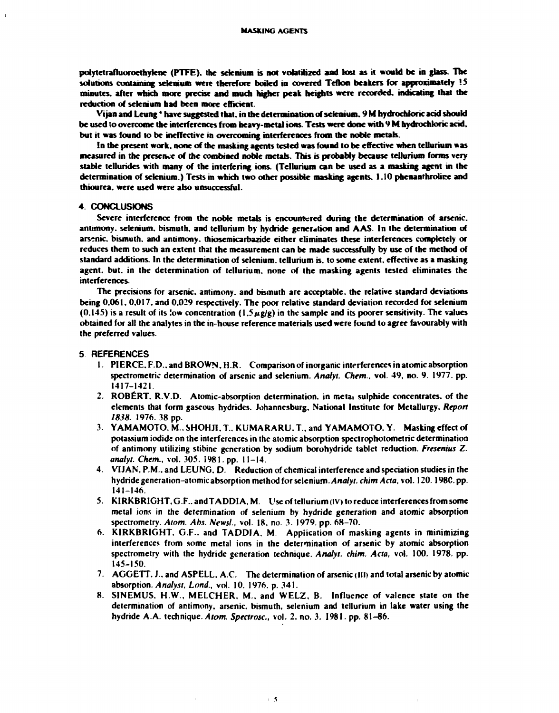**polytetrafluoroethylene (PTFE). the selenium is not volatilized and lost as it would be in glass. The solutions containing selenium were therefore boiled in covered Teflon beakers for approximately !S minutes, after which more precise and much higher peak heights were recorded, indicating that the reduction of selenium had been more efficient.** 

**Vijan and Leung' have suggested that, in the determination of selenium. 9 M hydrochloric acid should**  be used to overcome the interferences from heavy-metal ions. Tests were done with 9 M hydrochloric acid, **but it was found to be ineffective in overcoming interferences from the noble metals.** 

**In the present work, none of the masking agents tested was found to be effective when tellurium «as measured in the presence of the combined noble metals. This is probably because tellurium forms very stable telluridcs with many of the interfering ions. (Tellurium can be used as a masking agent in the determination of selenium.) Tests in which two other possible masking agents. 1.10 phenanrhrolire and thiourea, were used were also unsuccessful.** 

#### **4. CONCLUSIONS**

**Severe interference from the noble metals is encountered during the determination of arsenic,**  antimony, selenium, bismuth, and tellurium by hydride generation and AAS. In the determination of **arsenic, bismuth, and antimony, thjosemicarbazide either eliminates these interferences completely or reduces them to such an extent that the measurement can be made successfully by use of the method of standard additions. In the determination of selenium, tellurium is. to some extent, effective as a masking agent, but. in the determination of tellurium, none of the masking agents tested eliminates the interferences.** 

**The precisions for arsenic, antimony, and bismuth are acceptable, the relative standard deviations being 0.061. 0.017. and 0.029 respectively. The poor relative standard deviation recorded for selenium**   $(0.145)$  is a result of its low concentration  $(1.5 \mu g/g)$  in the sample and its poorer sensitivity. The values **obtained for all the analytes in the in-house reference materials used were found to agree favourably with the preferred values.** 

#### **5 REFERENCES**

- **1. PIERCE. F.D.. and BROWN. H.R. Comparison of inorganic interferences in atomic absorption spectrometric determination of arsenic and selenium.** *Analyt. Chrm.,* **vol. 49, no. 9. 1977. pp. 1417-1421.**
- **2. ROBERT. R.V.D. Atomic-absorption determination, in metai sulphide concentrates, of the elements that form gaseous hydrides. Johannesburg, National Institute for Metallurgy.** *Report 1838.* **1976.38 pp.**
- **3. YAMAMOTO. M., SHOHJ1, T.. KUMARARU . T., and YAMAMOTO. Y. Masking effect of potassium iodide on the interferences in the atomic absorption spectrophotometric determination of antimony utilizing stibine generation by sodium borohydride tablet reduction.** *Fresenius Z. analyt. Chem.,* **vol. 305. 1981. pp. 11-14.**
- **4. VIJAN, P.M.. and LEUNG. D. Reduction of chemical interference and speciation studies in the hydride generation-atomic absorption method for selenium.** *Analyt. chim Acta,* **vol. 120.198C. pp. 141-146.**
- 5. KIRKBRIGHT, G.F.. and TADDIA, M. Use of tellurium (IV) to reduce interferences from some **metal ions in the determination of selenium by hydride generation and atomic absorption spectrometry.** *Atom. Abs. News!.,* **vol. 18, no. 3. 1979. pp. 68-70.**
- **6. KIRKBRIGHT, G.F.. and TADDIA , M. Application of masking agents in minimizing interferences from some metal ions in the determination of arsenic by atomic absorption spectrometry with the hydride generation technique.** *Analyt. chim. Acta,* **vol. 100. 1978. pp. 145-150.**
- **7. AGGETT. J., and ASPELL, A.C. The determination of arsenic (ill) and total arsenic by atomic absorption.** *Analyst, Lond.,* **vol. 10. 1976. p. 341.**
- **8. SINEMUS, H.W., MELCHER, M.. and WELZ, B. Influence of valence state on the determination of antimony, arsenic, bismuth, selenium and tellurium in lake water using the hydride A.A. technique.** *Atom. Spectrosc,* **vol. 2, no. 3. 1981. pp. 81-86.**

 $\overline{1}$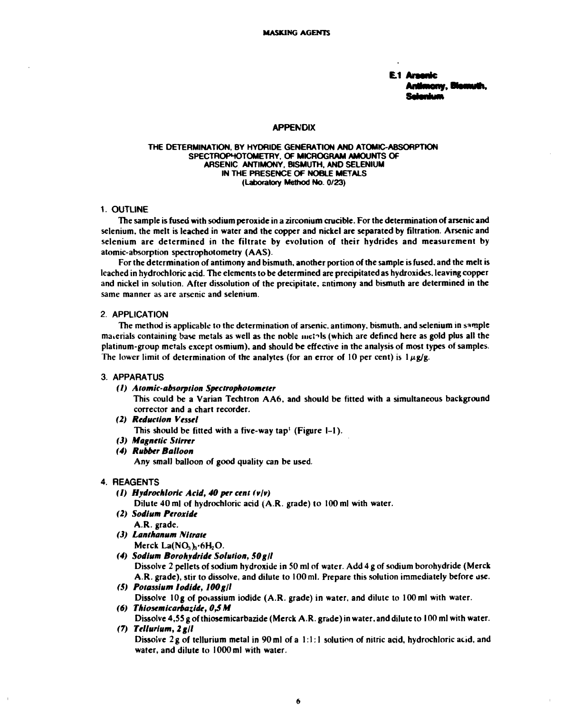**E.1**  nome, Mosmuth

#### **APPENDIX**

#### **THE DETERMINATION, BY HYDRIDE GENERATION AND ATOMIC-ABSORPTION SPECTROPHOTOMETRY. OF MICROGRAM AMOUNTS OF ARSENIC ANTIMONY. BISMUTH. AND SELENIUM IN THE PRESENCE OF NOBLE METALS (Laboratory Method No. 0/23)**

#### **1. OUTLINE**

**The sample is fused with sodium peroxide in a zirconium crucible. For the determination of arsenic and selenium, the melt is leached in water and the copper and nickel are separated by filtration. Arsenic and selenium are determined in the filtrate by evolution of their hydrides and measurement by atomic-absorption spectrophotometry (AAS).** 

**For the determination of antimony and bismuth, another portion of the sample is fused, and the melt is leached in hydrochloric acid. The elements to be determined are precipitated as hydroxides, leaving copper and nickel in solution. After dissolution of the precipitate, antimony and bismuth are determined in the same manner as are arsenic and selenium.** 

## **2. APPLICATION**

**The method is applicable to the determination of arsenic, antimony, bismuth, and selenium in sample materials containing base metals as well as the noble mci^ls (which are defined here as gold plus all the platinum-group metals except osmium), and should be effective in the analysis of most types of samples.**  The lower limit of determination of the analytes (for an error of 10 per cent) is  $1 \mu g/g$ .

#### **3. APPARATUS**

#### *(1) Atomic-absorption Spectrophotometer*

**This could be a Varian Techtron AA6, and should be fitted with a simultaneous background corrector and a chart recorder.** 

*(2) Reduction Vessel* 

**This should be fitted with a five-way tap' (Figure 1-1).** 

- *(3) Magnetic Stirrer*
- *(4) Rubber Balloon*

**Any small balloon of good quality can be used.** 

# **4. REAGENTS**

*(1) Hydrochloric Acid, 40 per cent (vlv)* 

**Dilute 40 ml of hydrochloric acid (A.R. grade) to 100 ml with water.** 

- *(2) Sodium Peroxide*  **A.R. grade.**
- *(J) Lanthanum Nitrate*  **Merck La(NO,>,-6H20.**
- *(4) Sodium Borohydride Solution, SOgll*

**Dissolve 2 pellets of sodium hydroxide in 50 ml of water. Add 4 g of sodium borohydride (Merck A.R. grade), stir to dissolve, and dilute to 100 ml. Prepare this solution immediately before use.** 

*(5) Potassium Iodide, lOOgll* 

Dissolve 10g of potassium iodide (A.R. grade) in water, and dilute to 100 ml with water. (6) Thiosemicarbazide, 0,5 M

**Dissolve 4,55 g of thiosemicarbazide (Merck A.R. grade) in water, and dilute to 100 ml with water.**  *(7) Tellurium, 2 gll* 

**Dissolve 2g of tellurium metal in 90 ml of a 1:1:1 solution of nitric acid, hydrochloric acid, and water, and dilute to 1000 ml with water.**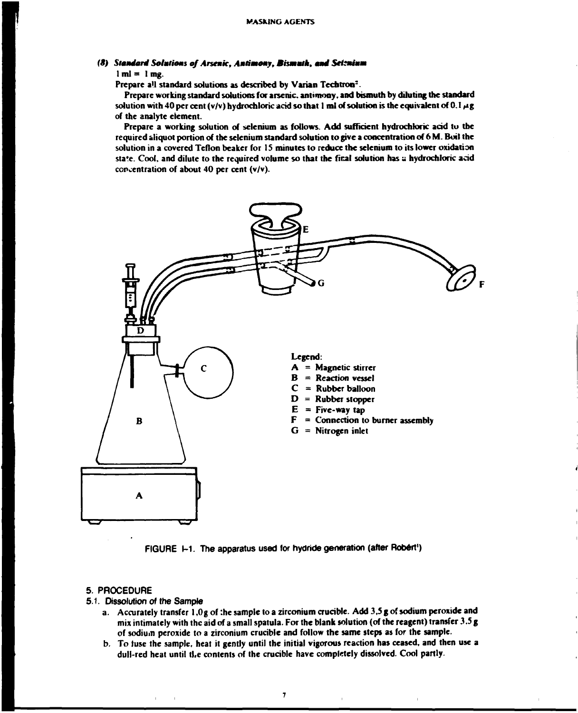# *(8) Slaméará Solutions of Anemic, Amtimomy, Bhmmlk, mmi Setsmimm*

 $1 \text{ m} = 1 \text{ m}$ g.

**Prepare all standard solutions as described by Varian Tecbtron<sup>2</sup> .** 

**Prepare working standard solutions for arsenic, antimony, and bismuth by diluting the standard**  solution with 40 per cent (v/v) hydrochloric acid so that 1 ml of solution is the equivalent of 0.1  $\mu$ g **of the analyte element.** 

**Prepare a working solution of selenium as follows. Add sufficient hydrochloric acid to the required aliquot portion of the selenium standard solution to give a concentration of 6 M. Boil the solution in a covered Teflon beaker for 15 minutes to reduce the selenium to its lower oxidation state. Cool, and dilute to the required volume so that the final solution has** *a* **hydrochloric acid concentration of about 40 per cent (v/v).** 



**FIGURE 1-1. The apparatus used for hydride generation (after Robert<sup>1</sup> )** 

# **5. PROCEDURE**

- **5.1. Dissolution of the Sample** 
	- **a. Accurately transfer 1,0g of :he sample to a zirconium aucible. Add 3,5 g of sodium peroxide and mix intimately with the aid of a small spatula. For the blank solution (of the reagent) transfer 3.5 g of sodium peroxide to a zirconium crucible and follow the same steps as for the sample.**
	- **b. To tuse the sample, heat it gently until the initial vigorous reaction has ceased, and then use a dull-red heat until the contents of the crucible have completely dissolved. Cool partly.**

 $\overline{7}$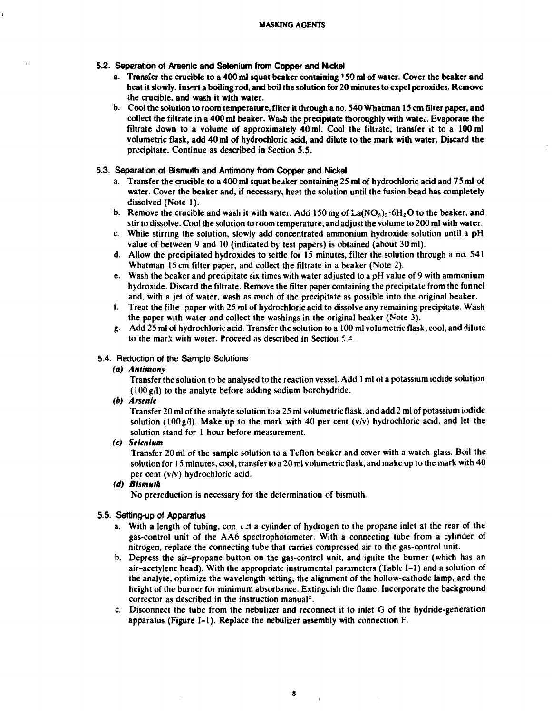- **5.2. Separation of Arsenic and Selenium from Copper and Nickel** 
	- **a. Transfer the crucible to a 400 ml squat beaker containing ' 50 ml of water. Cover the beaker and heat it slowly. Insert a boiling rod, and boil the solution for 20 minutes to expel peroxides. Remove the crucible, and wash it with water.**
	- **b. Cool the solution to room temperature, filter it through a no. 540 Whatman 15 cm filter paper, and collect the filtrate in a 400 ml beaker. Wash the precipitate thoroughly with wate». Evaporate the filtrate down to a volume of approximately 40 ml. Cool the filtrate, transfer it to a 100 ml volumetric flask, add 40 ml of hydrochloric acid, and dilute to the mark with water. Discard the precipitate. Continue as described in Section 5.5.**
- **5.3. Separation of Bismuth and Antimony from Copper and Nickel** 
	- **a. Transfer the crucible to a 400 ml squat beaker containing 25 ml of hydrochloric acid and 75 ml of water. Cover the beaker and, if necessary, heat the solution until the fusion bead has completely dissolved (Note 1).**
	- **b.** Remove the crucible and wash it with water. Add  $150 \text{ mg}$  of  $\text{La}(\text{NO}_3)_3 \cdot 6\text{H}_2\text{O}$  to the beaker, and **stir to dissolve. Cool the solution to room temperature, and adjust the volume to 200 ml with water.**
	- **c. While stirring the solution, slowly add concentrated ammonium hydroxide solution until a pH value of between 9 and 10 (indicated by test papers) is obtained (about 30 ml).**
	- **d. Allow the precipitated hydroxides to settle for 15 minutes, filter the solution through a no. 541 Whatman 15 cm filter paper, and collect the filtrate in a beaker (Note 2).**
	- **e. Wash the beaker and precipitate six times with water adjusted to a pH value of 9 with ammonium hydroxide. Discard the filtrate. Remove the filter paper containing the precipitate from the funnel and, with a jet of water, wash as much of the precipitate as possible into the original beaker.**
	- **f. Treat the filte paper with 25 ml of hydrochloric acid to dissolve any remaining precipitate. Wash the paper with water and collect the washings in the original beaker (Note 3).**
	- **g. Add 25 ml of hydrochloric acid. Transfer the solution to a 100 ml volumetric flask, cool, and dilute to the mark with water. Proceed as described in Section 5 A**

#### **5.4. Reduction of the Sample Solutions**

#### *(a) Antimony*

**Transfer the solution to be analysed to the reaction vessel. Add 1 ml of a potassium iodide solution (100g/l) to the analyte before adding sodium bcrohydride.** 

*(b) Arsenic* 

**Transfer 20 ml of the analyte solution to a 25 ml volumetric flask, and add 2 ml of potassium iodide**  solution ( $100g/l$ ). Make up to the mark with 40 per cent  $(v/v)$  hydrochloric acid, and let the **solution stand for 1 hour before measurement.** 

*(c) Selenium* 

**Transfer 20 ml of the sample solution to a Teflon beaker and cover with a watch-glass. Boil the solution for 15 minutes, cool, transfer to a 20 ml volumetric flask, and make up to the mark with 40 per cent (v/v) hydrochloric acid.** 

#### *(d) Bismuth*

**No prereduction is necessary for the determination of bismuth.** 

#### **5.5. Setting-up of Apparatus**

- a. With a length of tubing, con it a cylinder of hydrogen to the propane inlet at the rear of the **gas-control unit of the AA6 spectrophotometer. With a connecting tube from a cylinder of nitrogen, replace the connecting tube that carries compressed air to the gas-control unit.**
- **b. Depress the air-propane button on the gas-control unit, and ignite the burner (which has an air-acetylene head). With the appropriate instrumental parameters (Table 1-1) and a solution of the analyte, optimize the wavelength setting, the alignment of the hollow-cathode lamp, and the height of the burner for minimum absorbance. Extinguish the flame. Incorporate the background corrector as described in the instruction manual<sup>2</sup> .**
- **c. Disconnect the tube from the nebulizer and reconnect it to inlet G of the hydride-generation apparatus (Figure 1-1). Replace the nebulizer assembly with connection F.**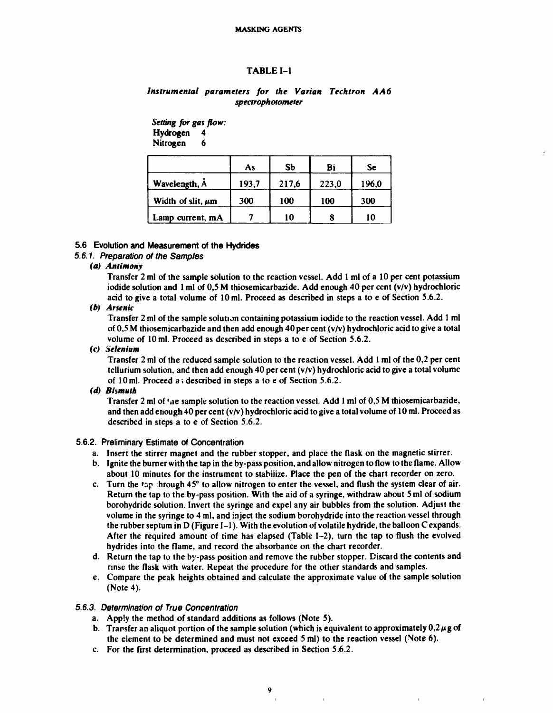#### **MASKING AGENTS**

### **TABLE 1-1**

# *Instrumental parameters for the Varian Techtron AA6 spectrophotometer*

*Setting for gas flow:*  **Hydrogen 4 Nitrogen 6** 

|                        | As    | <b>Sb</b> | Bi    | Se    |
|------------------------|-------|-----------|-------|-------|
| Wavelength, A          | 193,7 | 217,6     | 223,0 | 196,0 |
| Width of slit, $\mu$ m | 300   | 100       | 100   | 300   |
| Lamp current, m.A.     |       | 10        | 8     | 10    |

#### **5.6 Evolution and Measurement of the Hydrides**

# *5.6.1. Preparation of the Samples*

*(a) Antimony* 

**Transfer 2 ml of the sample solution to the reaction vessel. Add 1 ml of a 10 per cent potassium iodide solution and 1 ml of 0,5 M thiosemicarbazide. Add enough 40 per cent (v/v) hydrochloric acid to give a total volume of 10 ml. Proceed as described in steps a to e of Section 5.6.2.** 

*(b) Arsenic* 

**Transfer 2 ml of the sample solution containing potassium iodide to the reaction vessel. Add 1 ml of 0,5 M thiosemicarbazide and then add enough 40 per cent (v/v) hydrochloric acid to give a total volume of 10 ml. Proceed as described in steps a to e of Section 5.6.2.** 

# *(c) Selenium*

**Transfer 2 ml of the reduced sample solution to the reaction vessel. Add 1 ml of the 0,2 per cent tellurium solution, and then add enough 40 per cent (v/v) hydrochloric acid to give a total volume of 10ml. Proceed a; described in steps a to e of Section 5.6.2.** 

#### *(d) Bismuth*

**Transfer 2 ml of \*ne sample solution to the reaction vessel. Add 1 ml of 0,5 M thiosemicarbazide, and then add enough 40 per cent (v/v) hydrochloric acid to give a total volume of 10 ml. Proceed as described in steps a to e of Section 5.6.2.** 

#### **5.6.2. Preliminary Estimate of Concentration**

- **a. Insert the stirrer magnet and the rubber stopper, and place the flask on the magnetic stirrer.**
- **b. Ignite the burner with the tap in the by-pass position, and allow nitrogen to flow to the flame. Allow about 10 minutes for the instrument to stabiiize. Place the pen of the chart recorder on zero.**
- **c. Turn the tap :hrough 45° to allow nitrogen to enter the vessel, and flush the system clear of air. Return the tap to the by-pass position. With the aid of a syringe, withdraw about 5 ml of sodium borohydride solution. Invert the syringe and expel any air bubbles from the solution. Adjust the volume in the syringe to 4 ml, and inject the sodium borohydride into the reaction vessel through the rubber septum in D (Figure 1-1). With the evolution of volatile hydride, the balloon C expands. After the required amount of time has elapsed (Table 1-2), turn the tap to flush the evolved hydrides into the flame, and record the absorbance on the chart recorder.**
- **d. Return the tap to the by-pass position and remove the rubber stopper. Discard the contents and rinse the flask with water. Repeat the procedure for the other standards and samples.**
- **e. Compare the peak heights obtained and calculate the approximate value of the sample solution (Note 4).**

# *5.6.3. Determination of True Concentration*

- **a. Apply the method of standard additions as follows (Note 5).**
- **b.** Transfer an aliquot portion of the sample solution (which is equivalent to approximately  $0.2 \mu$ g of **the element to be determined and must not exceed 5 ml) to the reaction vessel (Note 6).**
- **c. For the first determination, proceed as described in Section 5.6.2.**